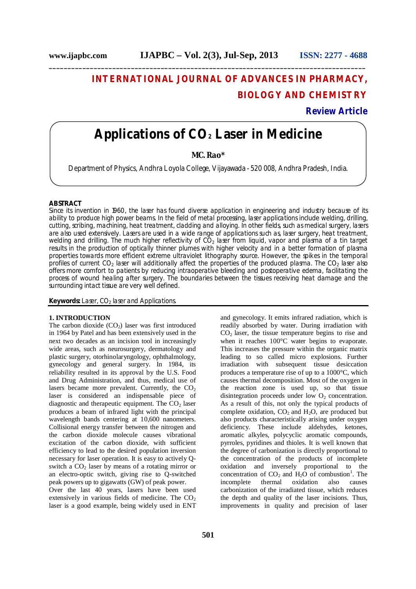## **INTERNATIONAL JOURNAL OF ADVANCES IN PHARMACY, BIOLOGY AND CHEMISTRY**

**Review Article**

# **Applications of CO<sup>2</sup> Laser in Medicine**

**\_\_\_\_\_\_\_\_\_\_\_\_\_\_\_\_\_\_\_\_\_\_\_\_\_\_\_\_\_\_\_\_\_\_\_\_\_\_\_\_\_\_\_\_\_\_\_\_\_\_\_\_\_\_\_\_\_\_\_\_\_\_\_\_\_\_\_\_\_\_\_\_\_\_\_\_\_\_\_\_\_\_\_\_\_**

### **MC. Rao\***

Department of Physics, Andhra Loyola College, Vijayawada - 520 008, Andhra Pradesh, India.

#### **ABSTRACT**

Since its invention in 1960, the laser has found diverse application in engineering and industry because of its ability to produce high power beams. In the field of metal processing, laser applications include welding, drilling, cutting, scribing, machining, heat treatment, cladding and alloying. In other fields, such as medical surgery, lasers are also used extensively. Lasers are used in a wide range of applications such as, laser surgery, heat treatment, welding and drilling. The much higher reflectivity of  $CO<sub>2</sub>$  laser from liquid, vapor and plasma of a tin target results in the production of optically thinner plumes with higher velocity and in a better formation of plasma properties towards more efficient extreme ultraviolet lithography source. However, the spikes in the temporal profiles of current  $CO<sub>2</sub>$  laser will additionally affect the properties of the produced plasma. The  $CO<sub>2</sub>$  laser also offers more comfort to patients by reducing intraoperative bleeding and postoperative edema, facilitating the process of wound healing after surgery. The boundaries between the tissues receiving heat damage and the surrounding intact tissue are very well defined.

**Keywords:** Laser, CO<sub>2</sub> laser and Applications.

#### **1. INTRODUCTION**

The carbon dioxide  $(CO<sub>2</sub>)$  laser was first introduced in 1964 by Patel and has been extensively used in the next two decades as an incision tool in increasingly wide areas, such as neurosurgery, dermatology and plastic surgery, otorhinolaryngology, ophthalmology, gynecology and general surgery. In 1984, its reliability resulted in its approval by the U.S. Food and Drug Administration, and thus, medical use of lasers became more prevalent. Currently, the  $CO<sub>2</sub>$ laser is considered an indispensable piece of diagnostic and therapeutic equipment. The  $CO<sub>2</sub>$  laser produces a beam of infrared light with the principal wavelength bands centering at 10,600 nanometers. Collisional energy transfer between the nitrogen and the carbon dioxide molecule causes vibrational excitation of the carbon dioxide, with sufficient efficiency to lead to the desired population inversion necessary for laser operation. It is easy to actively Qswitch a  $CO<sub>2</sub>$  laser by means of a rotating mirror or an electro-optic switch, giving rise to Q-switched peak powers up to gigawatts (GW) of peak power.

Over the last 40 years, lasers have been used extensively in various fields of medicine. The  $CO<sub>2</sub>$ laser is a good example, being widely used in ENT

and gynecology. It emits infrared radiation, which is readily absorbed by water. During irradiation with  $CO<sub>2</sub>$  laser, the tissue temperature begins to rise and when it reaches  $100^{\circ}$ C water begins to evaporate. This increases the pressure within the organic matrix leading to so called micro explosions. Further irradiation with subsequent tissue desiccation produces a temperature rise of up to a 1000°C, which causes thermal decomposition. Most of the oxygen in the reaction zone is used up, so that tissue disintegration proceeds under low  $O_2$  concentration. As a result of this, not only the typical products of complete oxidation,  $CO<sub>2</sub>$  and  $H<sub>2</sub>O$ , are produced but also products characteristically arising under oxygen deficiency. These include aldehydes, ketones, aromatic alkyles, polycyclic aromatic compounds, pyrroles, pyridines and thioles. It is well known that the degree of carbonization is directly proportional to the concentration of the products of incomplete oxidation and inversely proportional to the concentration of  $CO_2$  and  $H_2O$  of combustion<sup>1</sup>. The incomplete thermal oxidation also causes carbonization of the irradiated tissue, which reduces the depth and quality of the laser incisions. Thus, improvements in quality and precision of laser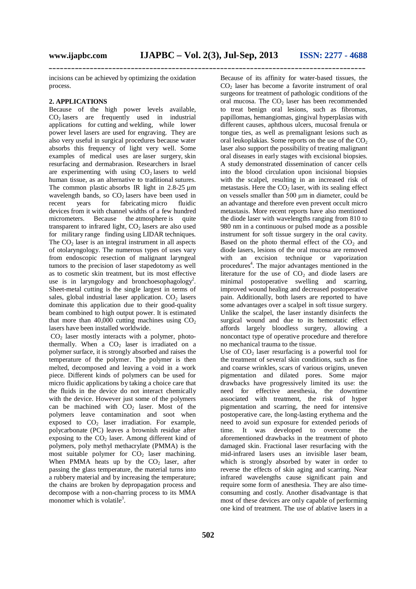incisions can be achieved by optimizing the oxidation process.

#### **2. APPLICATIONS**

Because of the high power levels available,  $CO<sub>2</sub>$  lasers are frequently used in industrial applications for cutting and welding, while lower power level lasers are used for engraving. They are also very useful in surgical procedures because water absorbs this frequency of light very well. Some examples of medical uses are laser surgery, skin resurfacing and dermabrasion. Researchers in Israel are experimenting with using  $CO<sub>2</sub>$  lasers to weld human tissue, as an alternative to traditional sutures. The common plastic absorbs IR light in  $2.8-25 \mu m$ wavelength bands, so  $CO<sub>2</sub>$  lasers have been used in recent vears for fabricating micro fluidic recent years for fabricating micro fluidic devices from it with channel widths of a few hundred micrometers. Because the atmosphere is quite transparent to infrared light,  $CO<sub>2</sub>$  lasers are also used for military range finding using LIDAR techniques. The  $CO<sub>2</sub>$  laser is an integral instrument in all aspects of otolaryngology. The numerous types of uses vary from endoscopic resection of malignant laryngeal tumors to the precision of laser stapedotomy as well as to cosmetic skin treatment, but its most effective use is in laryngology and bronchoesophagology<sup>2</sup>. Sheet-metal cutting is the single largest in terms of sales, global industrial laser application.  $CO<sub>2</sub>$  lasers dominate this application due to their good-quality beam combined to high output power. It is estimated that more than 40,000 cutting machines using  $CO<sub>2</sub>$ lasers have been installed worldwide.

 $CO<sub>2</sub>$  laser mostly interacts with a polymer, photothermally. When a  $CO<sub>2</sub>$  laser is irradiated on a polymer surface, it is strongly absorbed and raises the temperature of the polymer. The polymer is then melted, decomposed and leaving a void in a work piece. Different kinds of polymers can be used for micro fluidic applications by taking a choice care that the fluids in the device do not interact chemically with the device. However just some of the polymers can be machined with  $CO<sub>2</sub>$  laser. Most of the polymers leave contamination and soot when exposed to  $CO<sub>2</sub>$  laser irradiation. For example, polycarbonate (PC) leaves a brownish residue after exposing to the  $CO<sub>2</sub>$  laser. Among different kind of polymers, poly methyl methacrylate (PMMA) is the most suitable polymer for  $CO<sub>2</sub>$  laser machining. When PMMA heats up by the  $CO<sub>2</sub>$  laser, after passing the glass temperature, the material turns into a rubbery material and by increasing the temperature; the chains are broken by depropagation process and decompose with a non-charring process to its MMA monomer which is volatile<sup>3</sup>.

Because of its affinity for water-based tissues, the  $CO<sub>2</sub>$  laser has become a favorite instrument of oral surgeons for treatment of pathologic conditions of the oral mucosa. The  $CO<sub>2</sub>$  laser has been recommended to treat benign oral lesions, such as fibromas, papillomas, hemangiomas, gingival hyperplasias with different causes, aphthous ulcers, mucosal frenula or tongue ties, as well as premalignant lesions such as oral leukoplakias. Some reports on the use of the  $CO<sub>2</sub>$ laser also support the possibility of treating malignant oral diseases in early stages with excisional biopsies. A study demonstrated dissemination of cancer cells into the blood circulation upon incisional biopsies with the scalpel, resulting in an increased risk of metastasis. Here the  $CO<sub>2</sub>$  laser, with its sealing effect on vessels smaller than 500 μm in diameter, could be an advantage and therefore even prevent occult micro metastasis. More recent reports have also mentioned the diode laser with wavelengths ranging from 810 to 980 nm in a continuous or pulsed mode as a possible instrument for soft tissue surgery in the oral cavity. Based on the photo thermal effect of the  $CO<sub>2</sub>$  and diode lasers, lesions of the oral mucosa are removed with an excision technique or vaporization procedures<sup>4</sup>. The major advantages mentioned in the literature for the use of  $CO<sub>2</sub>$  and diode lasers are minimal postoperative swelling and scarring, improved wound healing and decreased postoperative pain. Additionally, both lasers are reported to have some advantages over a scalpel in soft tissue surgery. Unlike the scalpel, the laser instantly disinfects the surgical wound and due to its hemostatic effect affords largely bloodless surgery, allowing a noncontact type of operative procedure and therefore no mechanical trauma to the tissue.

Use of  $CO<sub>2</sub>$  laser resurfacing is a powerful tool for the treatment of several skin conditions, such as fine and coarse wrinkles, scars of various origins, uneven pigmentation and dilated pores. Some major drawbacks have progressively limited its use: the need for effective anesthesia, the downtime associated with treatment, the risk of hyper pigmentation and scarring, the need for intensive postoperative care, the long-lasting erythema and the need to avoid sun exposure for extended periods of time. It was developed to overcome the aforementioned drawbacks in the treatment of photo damaged skin. Fractional laser resurfacing with the mid-infrared lasers uses an invisible laser beam, which is strongly absorbed by water in order to reverse the effects of skin aging and scarring. Near infrared wavelengths cause significant pain and require some form of anesthesia. They are also timeconsuming and costly. Another disadvantage is that most of these devices are only capable of performing one kind of treatment. The use of ablative lasers in a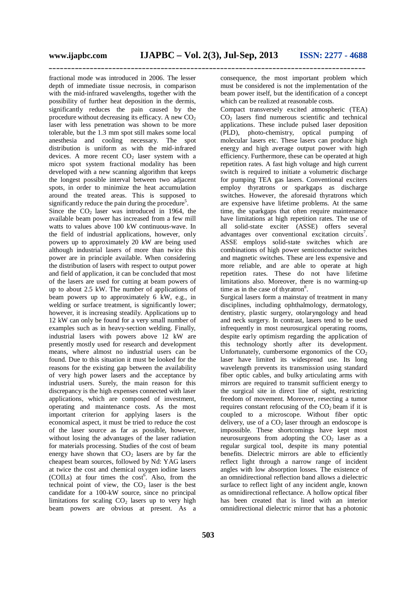fractional mode was introduced in 2006. The lesser depth of immediate tissue necrosis, in comparison with the mid-infrared wavelengths, together with the possibility of further heat deposition in the dermis, significantly reduces the pain caused by the procedure without decreasing its efficacy. A new  $CO<sub>2</sub>$ laser with less penetration was shown to be more tolerable, but the 1.3 mm spot still makes some local anesthesia and cooling necessary. The spot distribution is uniform as with the mid-infrared devices. A more recent  $CO<sub>2</sub>$  laser system with a micro spot system fractional modality has been developed with a new scanning algorithm that keeps the longest possible interval between two adjacent spots, in order to minimize the heat accumulation around the treated areas. This is supposed to significantly reduce the pain during the procedure<sup>5</sup>.

Since the  $CO<sub>2</sub>$  laser was introduced in 1964, the available beam power has increased from a few mill watts to values above 100 kW continuous-wave. In the field of industrial applications, however, only powers up to approximately 20 kW are being used although industrial lasers of more than twice this power are in principle available. When considering the distribution of lasers with respect to output power and field of application, it can be concluded that most of the lasers are used for cutting at beam powers of up to about 2.5 kW. The number of applications of beam powers up to approximately 6 kW, e.g., in welding or surface treatment, is significantly lower; however, it is increasing steadily. Applications up to 12 kW can only be found for a very small number of examples such as in heavy-section welding. Finally, industrial lasers with powers above 12 kW are presently mostly used for research and development means, where almost no industrial users can be found. Due to this situation it must be looked for the reasons for the existing gap between the availability of very high power lasers and the acceptance by industrial users. Surely, the main reason for this discrepancy is the high expenses connected with laser applications, which are composed of investment, operating and maintenance costs. As the most important criterion for applying lasers is the economical aspect, it must be tried to reduce the cost of the laser source as far as possible, however, without losing the advantages of the laser radiation for materials processing. Studies of the cost of beam energy have shown that  $CO<sub>2</sub>$  lasers are by far the cheapest beam sources, followed by Nd: YAG lasers at twice the cost and chemical oxygen iodine lasers  $(COILs)$  at four times the  $cost^6$ . Also, from the technical point of view, the  $CO<sub>2</sub>$  laser is the best candidate for a 100-kW source, since no principal limitations for scaling  $CO<sub>2</sub>$  lasers up to very high beam powers are obvious at present. As a

consequence, the most important problem which must be considered is not the implementation of the beam power itself, but the identification of a concept which can be realized at reasonable costs.

Compact transversely excited atmospheric (TEA)  $CO<sub>2</sub>$  lasers find numerous scientific and technical applications. These include pulsed laser deposition (PLD), photo-chemistry, optical pumping of molecular lasers etc. These lasers can produce high energy and high average output power with high efficiency. Furthermore, these can be operated at high repetition rates. A fast high voltage and high current switch is required to initiate a volumetric discharge for pumping TEA gas lasers. Conventional exciters employ thyratrons or sparkgaps as discharge switches. However, the aforesaid thyratrons which are expensive have lifetime problems. At the same time, the sparkgaps that often require maintenance have limitations at high repetition rates. The use of all solid-state exciter (ASSE) offers several advantages over conventional excitation circuits<sup>7</sup>. ASSE employs solid-state switches which are combinations of high power semiconductor switches and magnetic switches. These are less expensive and more reliable, and are able to operate at high repetition rates. These do not have lifetime limitations also. Moreover, there is no warming-up time as in the case of thyratron $8$ .

Surgical lasers form a mainstay of treatment in many disciplines, including ophthalmology, dermatology, dentistry, plastic surgery, otolaryngology and head and neck surgery. In contrast, lasers tend to be used infrequently in most neurosurgical operating rooms, despite early optimism regarding the application of this technology shortly after its development. Unfortunately, cumbersome ergonomics of the  $CO<sub>2</sub>$ laser have limited its widespread use. Its long wavelength prevents its transmission using standard fiber optic cables, and bulky articulating arms with mirrors are required to transmit sufficient energy to the surgical site in direct line of sight, restricting freedom of movement. Moreover, resecting a tumor requires constant refocusing of the  $CO<sub>2</sub>$  beam if it is coupled to a microscope. Without fiber optic delivery, use of a  $CO<sub>2</sub>$  laser through an endoscope is impossible. These shortcomings have kept most neurosurgeons from adopting the  $CO<sub>2</sub>$  laser as a regular surgical tool, despite its many potential benefits. Dielectric mirrors are able to efficiently reflect light through a narrow range of incident angles with low absorption losses. The existence of an omnidirectional reflection band allows a dielectric surface to reflect light of any incident angle, known as omnidirectional reflectance. A hollow optical fiber has been created that is lined with an interior omnidirectional dielectric mirror that has a photonic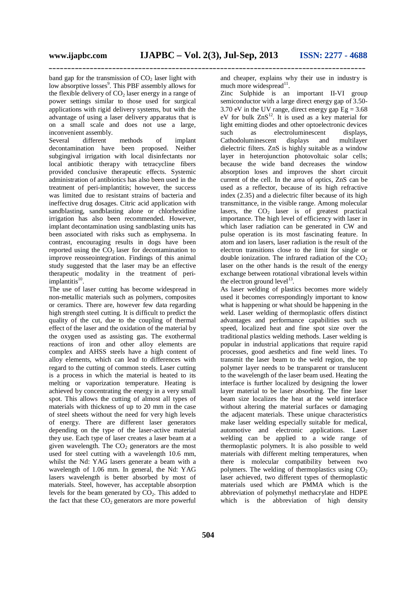band gap for the transmission of  $CO<sub>2</sub>$  laser light with low absorptive losses<sup>9</sup>. This PBF assembly allows for the flexible delivery of  $CO<sub>2</sub>$  laser energy in a range of power settings similar to those used for surgical applications with rigid delivery systems, but with the advantage of using a laser delivery apparatus that is on a small scale and does not use a large, inconvenient assembly.

Several different methods of implant decontamination have been proposed. Neither subgingival irrigation with local disinfectants nor local antibiotic therapy with tetracycline fibers provided conclusive therapeutic effects. Systemic administration of antibiotics has also been used in the treatment of peri-implantitis; however, the success was limited due to resistant strains of bacteria and ineffective drug dosages. Citric acid application with sandblasting, sandblasting alone or chlorhexidine irrigation has also been recommended. However, implant decontamination using sandblasting units has been associated with risks such as emphysema. In contrast, encouraging results in dogs have been reported using the  $CO<sub>2</sub>$  laser for decontamination to improve reosseointegration. Findings of this animal study suggested that the laser may be an effective therapeutic modality in the treatment of periimplantitis<sup>10</sup>.

The use of laser cutting has become widespread in non-metallic materials such as polymers, composites or ceramics. There are, however few data regarding high strength steel cutting. It is difficult to predict the quality of the cut, due to the coupling of thermal effect of the laser and the oxidation of the material by the oxygen used as assisting gas. The exothermal reactions of iron and other alloy elements are complex and AHSS steels have a high content of alloy elements, which can lead to differences with regard to the cutting of common steels. Laser cutting is a process in which the material is heated to its melting or vaporization temperature. Heating is achieved by concentrating the energy in a very small spot. This allows the cutting of almost all types of materials with thickness of up to 20 mm in the case of steel sheets without the need for very high levels of energy. There are different laser generators depending on the type of the laser-active material they use. Each type of laser creates a laser beam at a given wavelength. The  $CO<sub>2</sub>$  generators are the most used for steel cutting with a wavelength 10.6 mm, whilst the Nd: YAG lasers generate a beam with a wavelength of 1.06 mm. In general, the Nd: YAG lasers wavelength is better absorbed by most of materials. Steel, however, has acceptable absorption levels for the beam generated by  $CO<sub>2</sub>$ . This added to the fact that these  $CO<sub>2</sub>$  generators are more powerful

and cheaper, explains why their use in industry is much more widespread $^{11}$ .

Zinc Sulphide is an important II-VI group semiconductor with a large direct energy gap of 3.50- 3.70 eV in the UV range, direct energy gap  $Eg = 3.68$ eV for bulk  $ZnS^{12}$ . It is used as a key material for light emitting diodes and other optoelectronic devices such as electroluminescent displays, Cathodoluminescent displays and multilayer dielectric filters. ZnS is highly suitable as a window layer in heterojunction photovoltaic solar cells; because the wide band decreases the window absorption loses and improves the short circuit current of the cell. In the area of optics, ZnS can be used as a reflector, because of its high refractive index (2.35) and a dielectric filter because of its high transmittance, in the visible range. Among molecular lasers, the  $CO<sub>2</sub>$  laser is of greatest practical importance. The high level of efficiency with laser in which laser radiation can be generated in CW and pulse operation is its most fascinating feature. In atom and ion lasers, laser radiation is the result of the electron transitions close to the limit for single or double ionization. The infrared radiation of the  $CO<sub>2</sub>$ laser on the other hands is the result of the energy exchange between rotational vibrational levels within the electron ground  $level<sup>13</sup>$ .

As laser welding of plastics becomes more widely used it becomes correspondingly important to know what is happening or what should be happening in the weld. Laser welding of thermoplastic offers distinct advantages and performance capabilities such us speed, localized heat and fine spot size over the traditional plastics welding methods. Laser welding is popular in industrial applications that require rapid processes, good aesthetics and fine weld lines. To transmit the laser beam to the weld region, the top polymer layer needs to be transparent or translucent to the wavelength of the laser beam used. Heating the interface is further localized by designing the lower layer material to be laser absorbing. The fine laser beam size localizes the heat at the weld interface without altering the material surfaces or damaging the adjacent materials. These unique characteristics make laser welding especially suitable for medical, automotive and electronic applications. Laser welding can be applied to a wide range of thermoplastic polymers. It is also possible to weld materials with different melting temperatures, when there is molecular compatibility between two polymers. The welding of thermoplastics using  $CO<sub>2</sub>$ laser achieved, two different types of thermoplastic materials used which are PMMA which is the abbreviation of polymethyl methacrylate and HDPE which is the abbreviation of high density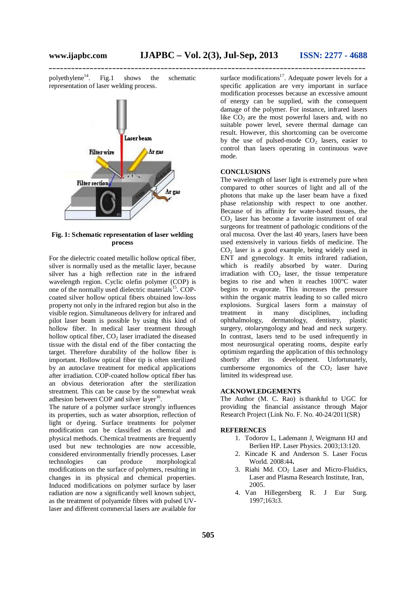polyethylene $^{14}$ . . Fig.1 shows the schematic representation of laser welding process.



**Fig. 1: Schematic representation of laser welding process**

For the dielectric coated metallic hollow optical fiber, silver is normally used as the metallic layer, because silver has a high reflection rate in the infrared wavelength region. Cyclic olefin polymer (COP) is one of the normally used dielectric materials<sup>15</sup>. COPcoated silver hollow optical fibers obtained low-loss property not only in the infrared region but also in the visible region. Simultaneous delivery for infrared and pilot laser beam is possible by using this kind of hollow fiber. In medical laser treatment through hollow optical fiber,  $CO<sub>2</sub>$  laser irradiated the diseased tissue with the distal end of the fiber contacting the target. Therefore durability of the hollow fiber is important. Hollow optical fiber tip is often sterilized by an autoclave treatment for medical applications after irradiation. COP-coated hollow optical fiber has an obvious deterioration after the sterilization streatment. This can be cause by the somewhat weak adhesion between COP and silver layer<sup>16</sup>.

The nature of a polymer surface strongly influences its properties, such as water absorption, reflection of light or dyeing. Surface treatments for polymer modification can be classified as chemical and physical methods. Chemical treatments are frequently used but new technologies are now accessible, considered environmentally friendly processes. Laser<br>technologies can produce morphological technologies can produce morphological modifications on the surface of polymers, resulting in changes in its physical and chemical properties. Induced modifications on polymer surface by laser radiation are now a significantly well known subject, as the treatment of polyamide fibres with pulsed UVlaser and different commercial lasers are available for

surface modifications<sup>17</sup>. Adequate power levels for a specific application are very important in surface modification processes because an excessive amount of energy can be supplied, with the consequent damage of the polymer. For instance, infrared lasers like  $CO<sub>2</sub>$  are the most powerful lasers and, with no suitable power level, severe thermal damage can result. However, this shortcoming can be overcome by the use of pulsed-mode  $CO<sub>2</sub>$  lasers, easier to control than lasers operating in continuous wave mode.

#### **CONCLUSIONS**

The wavelength of laser light is extremely pure when compared to other sources of light and all of the photons that make up the laser beam have a fixed phase relationship with respect to one another. Because of its affinity for water-based tissues, the  $CO<sub>2</sub>$  laser has become a favorite instrument of oral surgeons for treatment of pathologic conditions of the oral mucosa. Over the last 40 years, lasers have been used extensively in various fields of medicine. The  $CO<sub>2</sub>$  laser is a good example, being widely used in ENT and gynecology. It emits infrared radiation, which is readily absorbed by water. During irradiation with  $CO<sub>2</sub>$  laser, the tissue temperature begins to rise and when it reaches  $100^{\circ}$ C water begins to evaporate. This increases the pressure within the organic matrix leading to so called micro explosions. Surgical lasers form a mainstay of treatment in many disciplines, including ophthalmology, dermatology, dentistry, plastic surgery, otolaryngology and head and neck surgery. In contrast, lasers tend to be used infrequently in most neurosurgical operating rooms, despite early optimism regarding the application of this technology shortly after its development. Unfortunately, cumbersome ergonomics of the  $CO<sub>2</sub>$  laser have limited its widespread use.

#### **ACKNOWLEDGEMENTS**

The Author (M. C. Rao) is thankful to UGC for providing the financial assistance through Major Research Project (Link No. F. No. 40-24/2011(SR)

#### **REFERENCES**

- 1. Todorov L, Lademann J, Weigmann HJ and Berlien HP. Laser Physics. 2003;13:120.
- 2. Kincade K and Anderson S. Laser Focus World*.* 2008:44**.**
- 3. Riahi Md. CO<sup>2</sup> Laser and Micro-Fluidics*,* Laser and Plasma Research Institute, Iran, 2005.
- 4. Van Hillegersberg R. J Eur Surg. 1997;163**:**3.